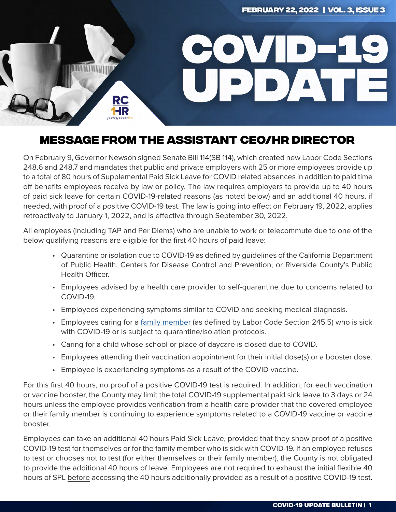

## WITA TAP TRAILELLE AQUATALIT APA (UR RIREATAR **MESSAGE FROM THE ASSISTANT CEO/HR DIRECTOR**

day of your return trip's departure. Failure to do so could cause delays in your return to the Country and/ On February 9, Governor Newson signed Senate Bill 114(SB 114), which created new Labor Code Sections<br>218.6. Lease a later de la constitución de la construcción de la construcción de la construcción de la constru to a total of 80 hours of Supplemental Paid Sick Leave for COVID related absences in addition to paid time off benefits employees receive by law or policy. The law requires employers to provide up to 40 hours needed, with proof of a positive COVID-19 test. The law is going into effect on February 19, 2022, applies telectommuting; however, superior is required. The coverage approval is required. The coverage coverage coverage<br>the correctively to January 1, 2022, and is effective through Sentember 30, 2022 retroactively to January 1, 2022, and is effective through September 30, 2022. 248.6 and 248.7 and mandates that public and private employers with 25 or more employees provide up of paid sick leave for certain COVID-19-related reasons (as noted below) and an additional 40 hours, if

All employees (including TAP and Per Diems) who are unable to work or telecommute due to one of the below qualifying reasons are eligible for the first 40 hours of paid leave:

- Quarantine or isolation due to COVID-19 as defined by guidelines of the California Department of Public Health, Centers for Disease Control and Prevention, or Riverside County's Public **Service and yourself and yourself and others safety and others safety** 
	- Employees advised by a health care provider to self-quarantine due to concerns related to COVID-19.
	- Employees experiencing symptoms similar to COVID and seeking medical diagnosis.
	- Employees caring for a [family member](https://leginfo.legislature.ca.gov/faces/codes_displaySection.xhtml?lawCode=LAB§ionNum=245.5) (as defined by Labor Code Section 245.5) who is sick with COVID-19 or is subject to quarantine/isolation protocols.
	- Caring for a child whose school or place of daycare is closed due to COVID.
	- Employees attending their vaccination appointment for their initial dose(s) or a booster dose.
	- Employee is experiencing symptoms as a result of the COVID vaccine.

For this first 40 hours, no proof of a positive COVID-19 test is required. In addition, for each vaccination or vaccine booster, the County may limit the total COVID-19 supplemental paid sick leave to 3 days or 24 hours unless the employee provides verification from a health care provider that the covered employee or their family member is continuing to experience symptoms related to a COVID-19 vaccine or vaccine booster.

Employees can take an additional 40 hours Paid Sick Leave, provided that they show proof of a positive COVID-19 test for themselves or for the family member who is sick with COVID-19. If an employee refuses to test or chooses not to test (for either themselves or their family member), the County is not obligated to provide the additional 40 hours of leave. Employees are not required to exhaust the initial flexible 40 hours of SPL before accessing the 40 hours additionally provided as a result of a positive COVID-19 test.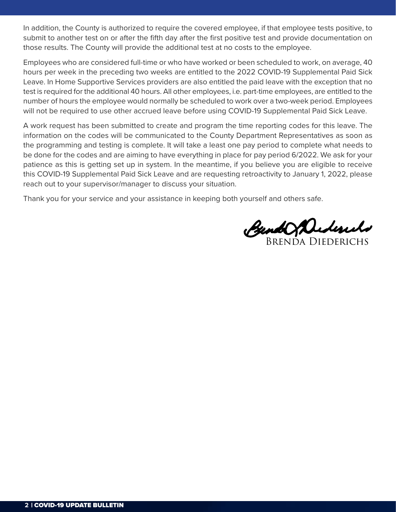must wear face county to during the domestion on the new restriction inproved, in that employee tests positive, to<br>submit to another test on or after the fifth day after the first positive test and provide documentation on submit to another test on or after the min day after the mst positive test and provide documentation on those results. The County will provide the additional test at no costs to the employee. In addition, the County is authorized to require the covered employee, if that employee tests positive, to

Employees who are considered full-time or who have worked or been scheduled to work, on average, 40 hours per week in the preceding two weeks are entitled to the 2022 COVID-19 Supplemental Paid Sick Leave. In Home Supportive Services providers are also entitled the paid leave with the exception that no test is required for the additional 40 hours. All other employees, i.e. part-time employees, are entitled to the number of hours the employee would normally be scheduled to work over a two-week period. Employees will not be required to use other accrued leave before using COVID-19 Supplemental Paid Sick Leave.

and its new variant and should be followed whenever possible. information on the codes will be communicated to the County Department Representatives as soon as the programming and testing is complete. It will take a least one pay period to complete what needs to be done for the codes and are aiming to have everything in place for pay period 6/2022. We ask for your patience as this is getting set up in system. In the meantime, if you believe you are eligible to receive this COVID-19 Supplemental Paid Sick Leave and are requesting retroactivity to January 1, 2022, please reach out to your supervisor/manager to discuss your situation. A work request has been submitted to create and program the time reporting codes for this leave. The

Thank you for your service and your assistance in keeping both yourself and others safe.

for milesge, normalized to get the use of a  $\mathcal{A}$  -county vehicle to get the COVID-19 vacancination. For a information regarding this matter please consult with your supervisor/manager to ensure scheduling does

Brenda Diederichs